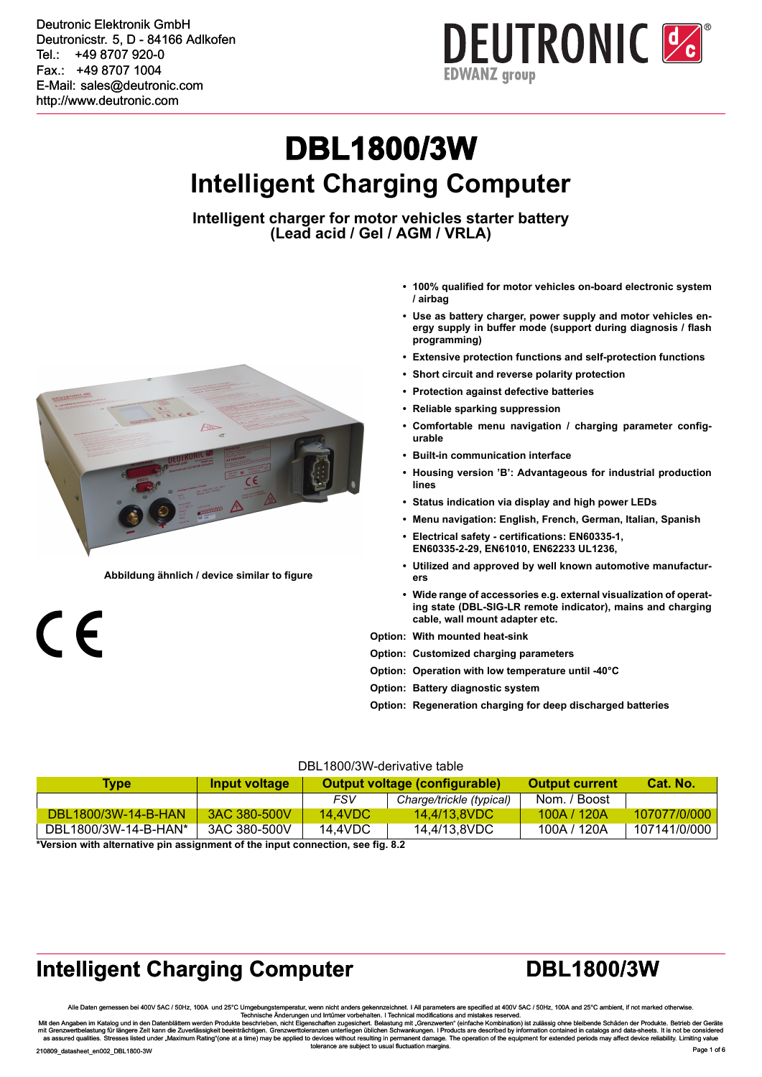**EDWANZ** group

# **DBL1800/3W Intelligent Charging Computer**

**Intelligent charger for motor vehicles starter battery (Lead acid / Gel / AGM / VRLA)**



**Abbildung ähnlich / device similar to figure**

 $\epsilon$ 

- **• 100% qualified for motor vehicles on-board electronic system / airbag**
- **• Use as battery charger, power supply and motor vehicles energy supply in buffer mode (support during diagnosis / flash programming)**
- **• Extensive protection functions and self-protection functions**
- **• Short circuit and reverse polarity protection**
- **• Protection against defective batteries**
- **• Reliable sparking suppression**
- **• Comfortable menu navigation / charging parameter configurable**
- **• Built-in communication interface**
- **• Housing version 'B': Advantageous for industrial production lines**
- **• Status indication via display and high power LEDs**
- **• Menu navigation: English, French, German, Italian, Spanish**
- **• Electrical safety certifications: EN60335-1, EN60335-2-29, EN61010, EN62233 UL1236,**
- **• Utilized and approved by well known automotive manufacturers**
- **• Wide range of accessories e.g. external visualization of operating state (DBL-SIG-LR remote indicator), mains and charging cable, wall mount adapter etc.**
- **Option: With mounted heat-sink**
- **Option: Customized charging parameters**
- **Option: Operation with low temperature until -40°C**
- **Option: Battery diagnostic system**
- **Option: Regeneration charging for deep discharged batteries**

#### DBL1800/3W-derivative table

| Type                       | Input voltage | Output voltage (configurable) |                          | Output current | Cat. No.     |
|----------------------------|---------------|-------------------------------|--------------------------|----------------|--------------|
|                            |               | FSV                           | Charge/trickle (typical) | Nom. / Boost   |              |
| <b>DBL1800/3W-14-B-HAN</b> | 3AC 380-500V  | 14.4VDC                       | 14.4/13.8VDC             | 100A / 120A    | 107077/0/000 |
| DBL1800/3W-14-B-HAN*       | 3AC 380-500V  | 14.4VDC                       | 14.4/13.8VDC             | 100A / 120A    | 107141/0/000 |

**\*Version with alternative pin assignment of the input connection, see fig. 8.2**

#### **Intelligent Charging Computer <b>DBL1800/3W**

Alle Daten gemessen bei 400V 5AC / 50Hz, 100A und 25°C / Toughoungstemperatur, wenn nicht anders upper to the maters are specified at 400V 5AC / 50Hz, 100A und 25°C / Toughoungstemperatur, wenn inchus are provided to a 400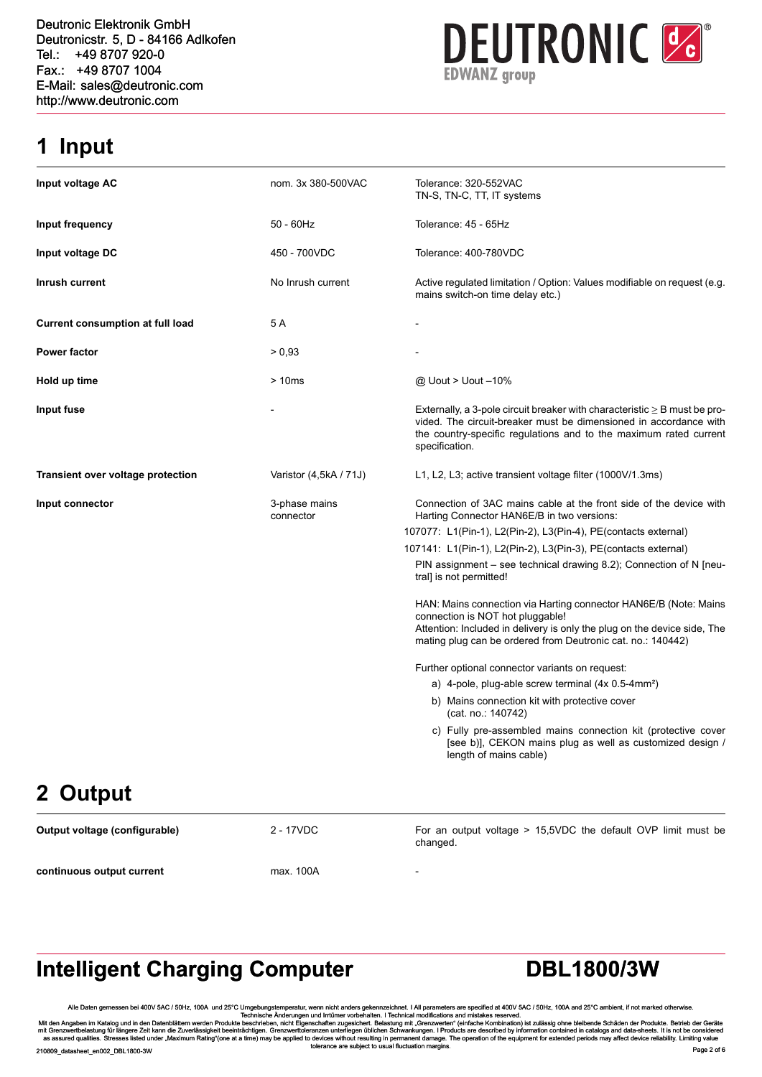**EDWANZ** group

#### **1 Input**

| Input voltage AC                        | nom. 3x 380-500VAC         | Tolerance: 320-552VAC<br>TN-S, TN-C, TT, IT systems                                                                                                                                                                                             |
|-----------------------------------------|----------------------------|-------------------------------------------------------------------------------------------------------------------------------------------------------------------------------------------------------------------------------------------------|
| Input frequency                         | $50 - 60$ Hz               | Tolerance: 45 - 65Hz                                                                                                                                                                                                                            |
| Input voltage DC                        | 450 - 700VDC               | Tolerance: 400-780VDC                                                                                                                                                                                                                           |
| Inrush current                          | No Inrush current          | Active regulated limitation / Option: Values modifiable on request (e.g.<br>mains switch-on time delay etc.)                                                                                                                                    |
| <b>Current consumption at full load</b> | 5 A                        |                                                                                                                                                                                                                                                 |
| <b>Power factor</b>                     | > 0,93                     |                                                                                                                                                                                                                                                 |
| Hold up time                            | >10ms                      | @ Uout > Uout -10%                                                                                                                                                                                                                              |
| Input fuse                              |                            | Externally, a 3-pole circuit breaker with characteristic $\geq$ B must be pro-<br>vided. The circuit-breaker must be dimensioned in accordance with<br>the country-specific regulations and to the maximum rated current<br>specification.      |
| Transient over voltage protection       | Varistor (4,5kA / 71J)     | L1, L2, L3; active transient voltage filter (1000V/1.3ms)                                                                                                                                                                                       |
| Input connector                         | 3-phase mains<br>connector | Connection of 3AC mains cable at the front side of the device with<br>Harting Connector HAN6E/B in two versions:                                                                                                                                |
|                                         |                            | 107077: L1(Pin-1), L2(Pin-2), L3(Pin-4), PE(contacts external)                                                                                                                                                                                  |
|                                         |                            | 107141: L1(Pin-1), L2(Pin-2), L3(Pin-3), PE(contacts external)                                                                                                                                                                                  |
|                                         |                            | PIN assignment – see technical drawing 8.2); Connection of N [neu-<br>tral] is not permitted!                                                                                                                                                   |
|                                         |                            | HAN: Mains connection via Harting connector HAN6E/B (Note: Mains<br>connection is NOT hot pluggable!<br>Attention: Included in delivery is only the plug on the device side, The<br>mating plug can be ordered from Deutronic cat. no.: 140442) |
|                                         |                            | Further optional connector variants on request:                                                                                                                                                                                                 |
|                                         |                            | a) 4-pole, plug-able screw terminal $(4x 0.5-4mm^2)$                                                                                                                                                                                            |
|                                         |                            | b) Mains connection kit with protective cover<br>(cat. no.: 140742)                                                                                                                                                                             |
|                                         |                            | c) Fully pre-assembled mains connection kit (protective cover<br>[see b)], CEKON mains plug as well as customized design /<br>length of mains cable)                                                                                            |
| <b>A.L.</b>                             |                            |                                                                                                                                                                                                                                                 |

### **2 Output**

**Output voltage (configurable)** 2 - 17VDC For an output voltage > 15,5VDC the default OVP limit must be changed. **continuous output current** max. 100A

### **Intelligent Charging Computer <b>DBL1800/3W**

Alle Daten gemessen bei 400V 5AC / 50Hz, 100A und 25°C / 50Hz, 100A und 25°C / 50Hz, 100A und 25°C / 50Hz, 100A und 25°C / 50Hz, 100A und 25°C / 50Hz, 100A und 25°C / 50Hz, 100A und 25°C / Technische Anderungen und Irrtime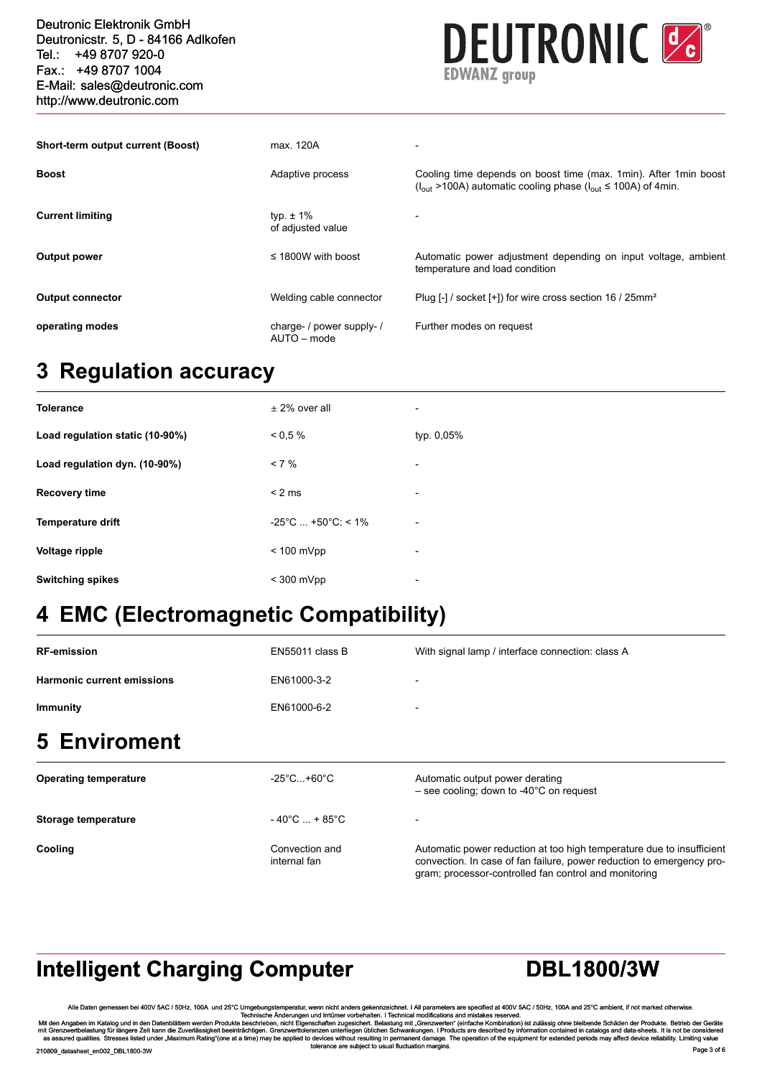| Fax.: +49 8707 1004<br>E-Mail: sales@deutronic.com<br>http://www.deutronic.com | <b>EDWANZ</b> group                      |                                                                                                                                                             |  |  |
|--------------------------------------------------------------------------------|------------------------------------------|-------------------------------------------------------------------------------------------------------------------------------------------------------------|--|--|
| Short-term output current (Boost)                                              | max. 120A                                |                                                                                                                                                             |  |  |
| <b>Boost</b>                                                                   | Adaptive process                         | Cooling time depends on boost time (max. 1 min). After 1 min boost<br>( $I_{\text{out}}$ >100A) automatic cooling phase ( $I_{\text{out}}$ ≤ 100A) of 4min. |  |  |
| <b>Current limiting</b>                                                        | typ. $\pm$ 1%<br>of adjusted value       |                                                                                                                                                             |  |  |
| Output power                                                                   | $\leq$ 1800W with boost                  | Automatic power adjustment depending on input voltage, ambient<br>temperature and load condition                                                            |  |  |
| <b>Output connector</b>                                                        | Welding cable connector                  | Plug [-] / socket [+]) for wire cross section 16 / 25mm <sup>2</sup>                                                                                        |  |  |
| operating modes                                                                | charge- / power supply- /<br>AUTO - mode | Further modes on request                                                                                                                                    |  |  |

### **3 Regulation accuracy**

| <b>Tolerance</b>                | $\pm$ 2% over all                       | $\overline{\phantom{a}}$ |
|---------------------------------|-----------------------------------------|--------------------------|
| Load regulation static (10-90%) | $0.5\%$                                 | typ. 0,05%               |
| Load regulation dyn. (10-90%)   | $< 7 \%$                                | $\overline{\phantom{a}}$ |
| <b>Recovery time</b>            | < 2 ms                                  | $\overline{\phantom{a}}$ |
| <b>Temperature drift</b>        | $-25^{\circ}$ C  +50 $^{\circ}$ C: < 1% | $\overline{\phantom{a}}$ |
| Voltage ripple                  | $< 100$ mVpp                            | $\overline{\phantom{a}}$ |
| <b>Switching spikes</b>         | $<$ 300 mVpp                            | ٠                        |

### **4 EMC (Electromagnetic Compatibility)**

| <b>RF-emission</b>                | EN55011 class B                    | With signal lamp / interface connection: class A                                        |
|-----------------------------------|------------------------------------|-----------------------------------------------------------------------------------------|
| <b>Harmonic current emissions</b> | EN61000-3-2                        | $\overline{\phantom{a}}$                                                                |
| <b>Immunity</b>                   | EN61000-6-2                        | $\overline{\phantom{0}}$                                                                |
| <b>5 Enviroment</b>               |                                    |                                                                                         |
| <b>Operating temperature</b>      | $-25^{\circ}$ C+60 $^{\circ}$ C    | Automatic output power derating<br>$-$ see cooling; down to -40 $^{\circ}$ C on request |
| Storage temperature               | $-40^{\circ}$ C  + 85 $^{\circ}$ C | $\overline{\phantom{0}}$                                                                |

**Cooling** Convection and internal fan Automatic power reduction at too high temperature due to insufficient convection. In case of fan failure, power reduction to emergency program; processor-controlled fan control and monitoring

### **Intelligent Charging Computer <b>DBL1800/3W**

Alle Daten gemessen bei 400V 5AC / 50Hz, 100A und 25°C / 50Hz, 100A und 25°C / 50Hz, 100A und 25°C / 50Hz, 100A und 25°C / 50Hz, 100A und 25°C / 50Hz, 100A und 25°C / 50Hz, 100A und 25°C / Technische Anderungen und Irritim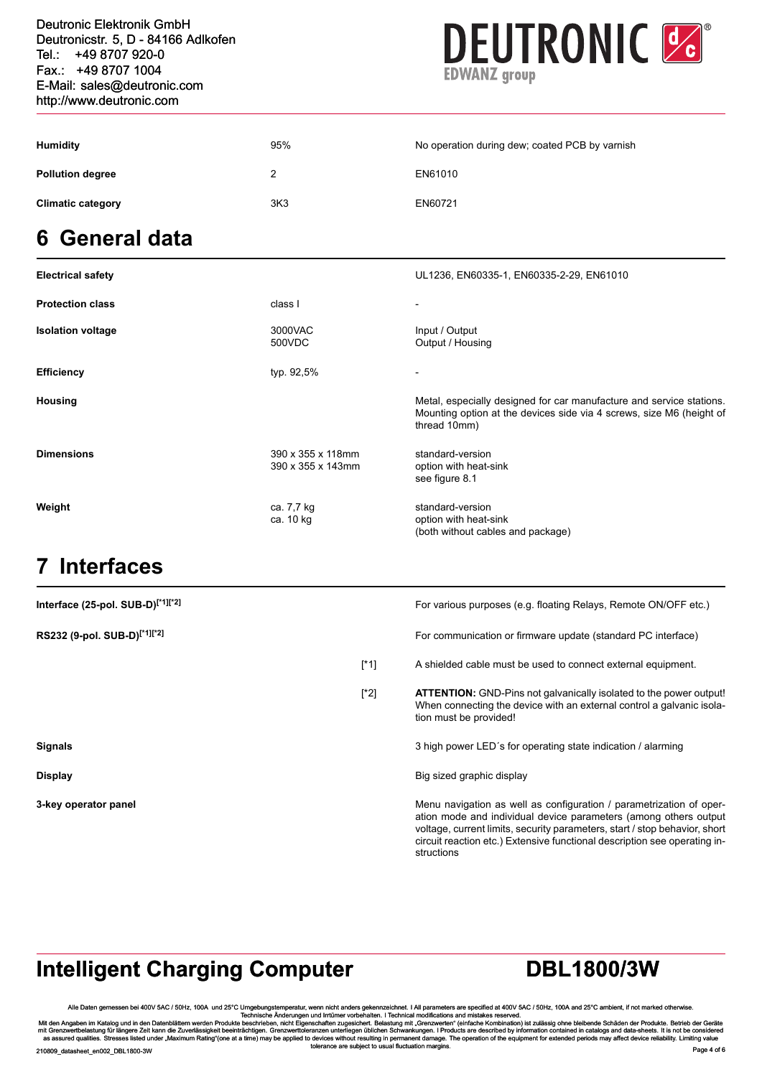| Fax.: +49 8707 1004<br>E-Mail: sales@deutronic.com<br>http://www.deutronic.com |                 | <b>EDWANZ</b> group                            |  |  |
|--------------------------------------------------------------------------------|-----------------|------------------------------------------------|--|--|
| <b>Humidity</b>                                                                | 95%             | No operation during dew; coated PCB by varnish |  |  |
| <b>Pollution degree</b>                                                        | 2               | EN61010                                        |  |  |
| <b>Climatic category</b>                                                       | 3K <sub>3</sub> | EN60721                                        |  |  |
| 6 General data                                                                 |                 |                                                |  |  |
| <b>Electrical safety</b>                                                       |                 | UL1236, EN60335-1, EN60335-2-29, EN61010       |  |  |

| <b>Protection class</b>  | class l                                | -                                                                                                                                                            |
|--------------------------|----------------------------------------|--------------------------------------------------------------------------------------------------------------------------------------------------------------|
| <b>Isolation voltage</b> | 3000VAC<br>500VDC                      | Input / Output<br>Output / Housing                                                                                                                           |
| <b>Efficiency</b>        | typ. 92,5%                             | $\overline{\phantom{0}}$                                                                                                                                     |
| Housing                  |                                        | Metal, especially designed for car manufacture and service stations.<br>Mounting option at the devices side via 4 screws, size M6 (height of<br>thread 10mm) |
| <b>Dimensions</b>        | 390 x 355 x 118mm<br>390 x 355 x 143mm | standard-version<br>option with heat-sink<br>see figure 8.1                                                                                                  |
| Weight                   | ca. 7,7 kg<br>ca. 10 kg                | standard-version<br>option with heat-sink<br>(both without cables and package)                                                                               |

#### **7 Interfaces**

| Interface (25-pol. SUB-D) <sup>[*1][*2]</sup> |         | For various purposes (e.g. floating Relays, Remote ON/OFF etc.)                                                                                                                                                                                                                                                  |
|-----------------------------------------------|---------|------------------------------------------------------------------------------------------------------------------------------------------------------------------------------------------------------------------------------------------------------------------------------------------------------------------|
| RS232 (9-pol. SUB-D) <sup>[*1][*2]</sup>      |         | For communication or firmware update (standard PC interface)                                                                                                                                                                                                                                                     |
|                                               | $[^*1]$ | A shielded cable must be used to connect external equipment.                                                                                                                                                                                                                                                     |
|                                               | [*2]    | <b>ATTENTION:</b> GND-Pins not galvanically isolated to the power output!<br>When connecting the device with an external control a galvanic isola-<br>tion must be provided!                                                                                                                                     |
| <b>Signals</b>                                |         | 3 high power LED's for operating state indication / alarming                                                                                                                                                                                                                                                     |
| <b>Display</b>                                |         | Big sized graphic display                                                                                                                                                                                                                                                                                        |
| 3-key operator panel                          |         | Menu navigation as well as configuration / parametrization of oper-<br>ation mode and individual device parameters (among others output<br>voltage, current limits, security parameters, start / stop behavior, short<br>circuit reaction etc.) Extensive functional description see operating in-<br>structions |

## **Intelligent Charging Computer <b>DBL1800/3W**

Alle Daten gemessen bei 400V 5AC / 50Hz, 100A und 25°C / 50Hz, 100A und 25°C / 50Hz, 100A und 25°C / 50Hz, 100A und 25°C / 50Hz, 100A und 25°C / 50Hz, 100A und 25°C / 50Hz, 100A und 25°C / Technische Anderungen und Irritim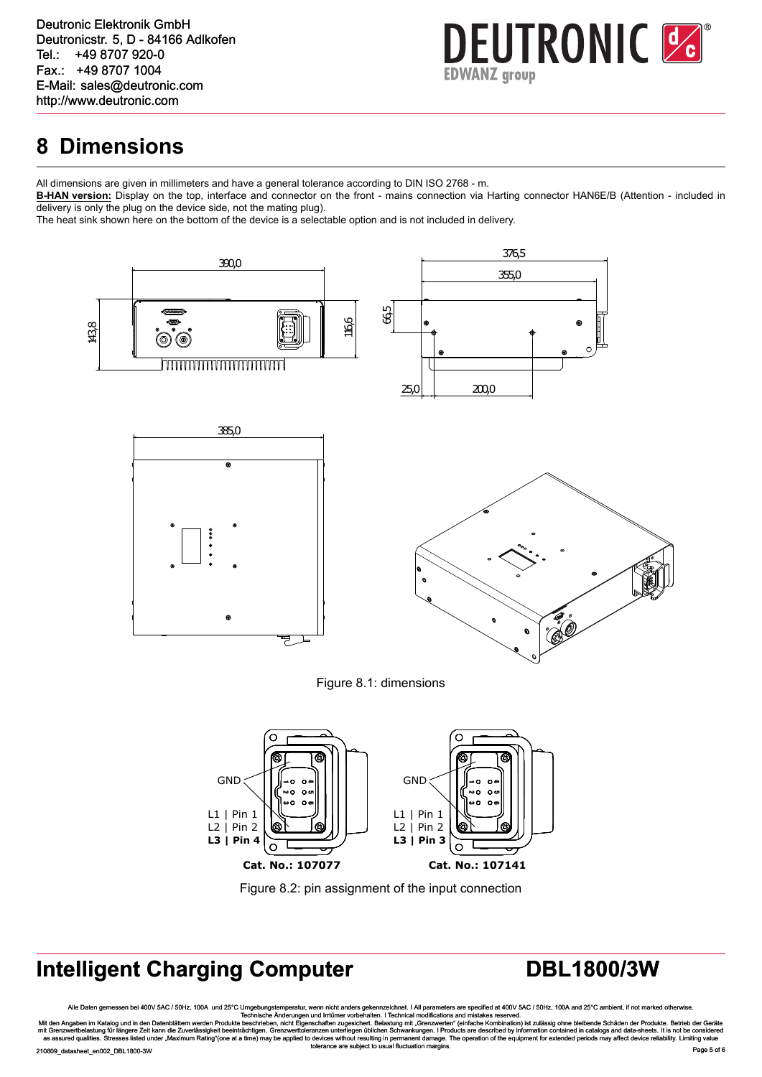#### **8 Dimensions**

All dimensions are given in millimeters and have a general tolerance according to DIN ISO 2768 - m.

**B-HAN version:** Display on the top, interface and connector on the front - mains connection via Harting connector HAN6E/B (Attention - included in delivery is only the plug on the device side, not the mating plug).

The heat sink shown here on the bottom of the device is a selectable option and is not included in delivery.

<span id="page-4-1"></span>

Figure 8.2: pin assignment of the input connection

## <span id="page-4-0"></span>**Intelligent Charging Computer <b>DBL1800/3W**

Alle Daten gemessen bei 400V 5AC / 50Hz, 100A und 25°C / 50Hz, 100A und 25°C / 50Hz, 100A und 25°C / 50Hz, 100A und 25°C / 50Hz, 100A und 25°C / 50Hz, 100A und 25°C / 50Hz, 100A und 25°C / Technische Anderungen und Irritim